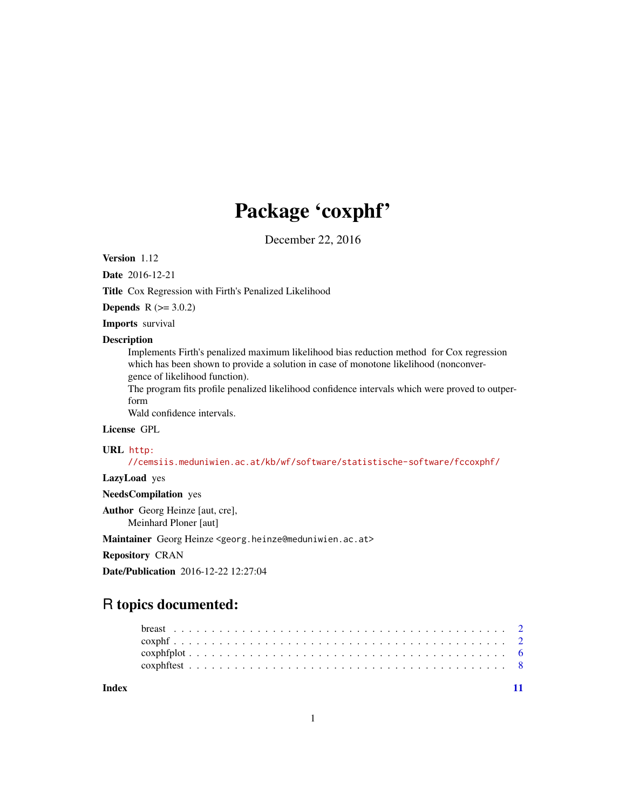# Package 'coxphf'

December 22, 2016

Version 1.12

Date 2016-12-21

Title Cox Regression with Firth's Penalized Likelihood

**Depends**  $R$  ( $> = 3.0.2$ )

Imports survival

#### **Description**

Implements Firth's penalized maximum likelihood bias reduction method for Cox regression which has been shown to provide a solution in case of monotone likelihood (nonconvergence of likelihood function).

The program fits profile penalized likelihood confidence intervals which were proved to outperform

Wald confidence intervals.

# License GPL

# URL [http:](http://cemsiis.meduniwien.ac.at/kb/wf/software/statistische-software/fccoxphf/)

[//cemsiis.meduniwien.ac.at/kb/wf/software/statistische-software/fccoxphf/](http://cemsiis.meduniwien.ac.at/kb/wf/software/statistische-software/fccoxphf/)

# LazyLoad yes

NeedsCompilation yes

Author Georg Heinze [aut, cre],

Meinhard Ploner [aut]

Maintainer Georg Heinze <georg.heinze@meduniwien.ac.at>

Repository CRAN

Date/Publication 2016-12-22 12:27:04

# R topics documented:

**Index** [11](#page-10-0)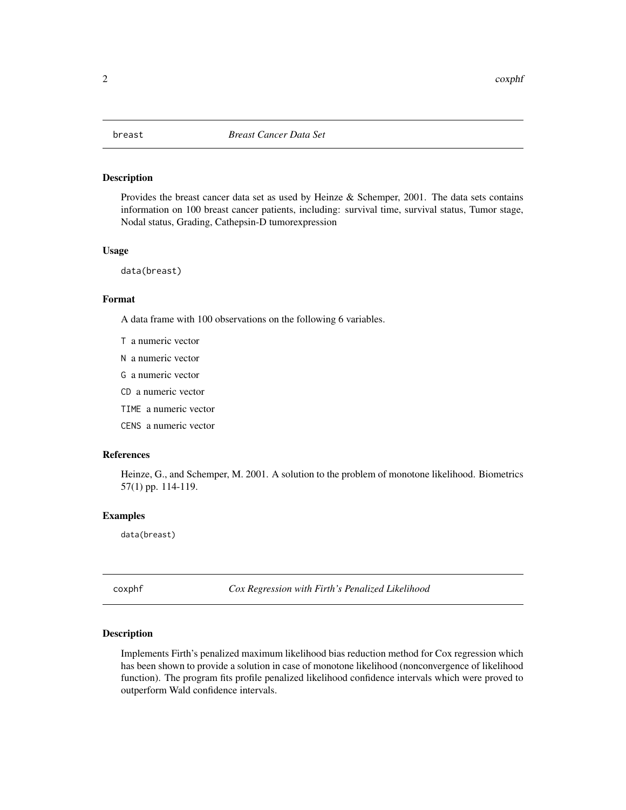<span id="page-1-0"></span>

#### Description

Provides the breast cancer data set as used by Heinze & Schemper, 2001. The data sets contains information on 100 breast cancer patients, including: survival time, survival status, Tumor stage, Nodal status, Grading, Cathepsin-D tumorexpression

#### Usage

data(breast)

#### Format

A data frame with 100 observations on the following 6 variables.

T a numeric vector

- N a numeric vector
- G a numeric vector
- CD a numeric vector
- TIME a numeric vector
- CENS a numeric vector

#### References

Heinze, G., and Schemper, M. 2001. A solution to the problem of monotone likelihood. Biometrics 57(1) pp. 114-119.

#### Examples

data(breast)

coxphf *Cox Regression with Firth's Penalized Likelihood*

#### Description

Implements Firth's penalized maximum likelihood bias reduction method for Cox regression which has been shown to provide a solution in case of monotone likelihood (nonconvergence of likelihood function). The program fits profile penalized likelihood confidence intervals which were proved to outperform Wald confidence intervals.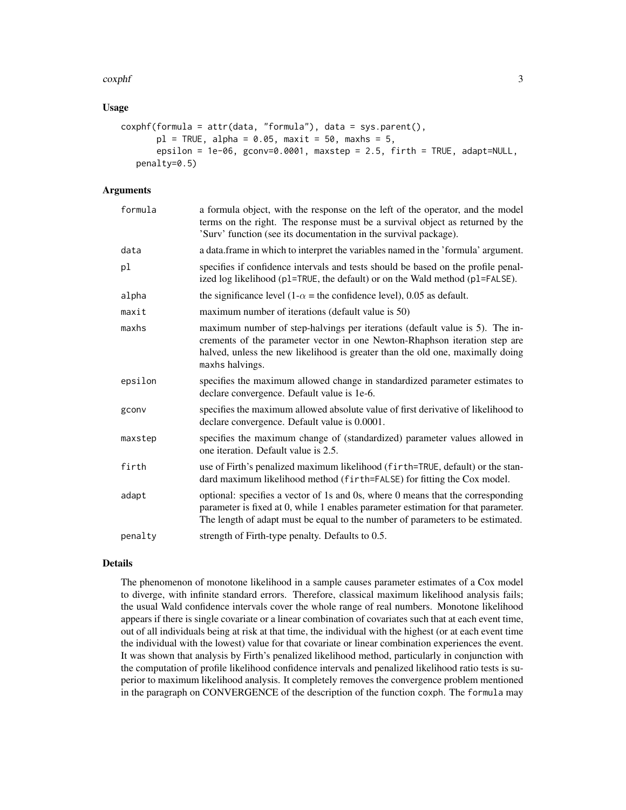#### coxphf 3

#### Usage

```
coxphf(formula = attr(data, "formula"), data = sys.parent(),
      pl = TRUE, alpha = 0.05, maxit = 50, maxhs = 5,
       epsilon = 1e-06, gconv=0.0001, maxstep = 2.5, firth = TRUE, adapt=NULL,
   penalty=0.5)
```
# Arguments

| formula | a formula object, with the response on the left of the operator, and the model<br>terms on the right. The response must be a survival object as returned by the<br>'Surv' function (see its documentation in the survival package).                             |
|---------|-----------------------------------------------------------------------------------------------------------------------------------------------------------------------------------------------------------------------------------------------------------------|
| data    | a data.frame in which to interpret the variables named in the 'formula' argument.                                                                                                                                                                               |
| pl      | specifies if confidence intervals and tests should be based on the profile penal-<br>ized log likelihood (p1=TRUE, the default) or on the Wald method (p1=FALSE).                                                                                               |
| alpha   | the significance level (1- $\alpha$ = the confidence level), 0.05 as default.                                                                                                                                                                                   |
| maxit   | maximum number of iterations (default value is 50)                                                                                                                                                                                                              |
| maxhs   | maximum number of step-halvings per iterations (default value is 5). The in-<br>crements of the parameter vector in one Newton-Rhaphson iteration step are<br>halved, unless the new likelihood is greater than the old one, maximally doing<br>maxhs halvings. |
| epsilon | specifies the maximum allowed change in standardized parameter estimates to<br>declare convergence. Default value is 1e-6.                                                                                                                                      |
| gconv   | specifies the maximum allowed absolute value of first derivative of likelihood to<br>declare convergence. Default value is 0.0001.                                                                                                                              |
| maxstep | specifies the maximum change of (standardized) parameter values allowed in<br>one iteration. Default value is 2.5.                                                                                                                                              |
| firth   | use of Firth's penalized maximum likelihood (firth=TRUE, default) or the stan-<br>dard maximum likelihood method (firth=FALSE) for fitting the Cox model.                                                                                                       |
| adapt   | optional: specifies a vector of 1s and 0s, where 0 means that the corresponding<br>parameter is fixed at 0, while 1 enables parameter estimation for that parameter.<br>The length of adapt must be equal to the number of parameters to be estimated.          |
| penalty | strength of Firth-type penalty. Defaults to 0.5.                                                                                                                                                                                                                |

#### Details

The phenomenon of monotone likelihood in a sample causes parameter estimates of a Cox model to diverge, with infinite standard errors. Therefore, classical maximum likelihood analysis fails; the usual Wald confidence intervals cover the whole range of real numbers. Monotone likelihood appears if there is single covariate or a linear combination of covariates such that at each event time, out of all individuals being at risk at that time, the individual with the highest (or at each event time the individual with the lowest) value for that covariate or linear combination experiences the event. It was shown that analysis by Firth's penalized likelihood method, particularly in conjunction with the computation of profile likelihood confidence intervals and penalized likelihood ratio tests is superior to maximum likelihood analysis. It completely removes the convergence problem mentioned in the paragraph on CONVERGENCE of the description of the function coxph. The formula may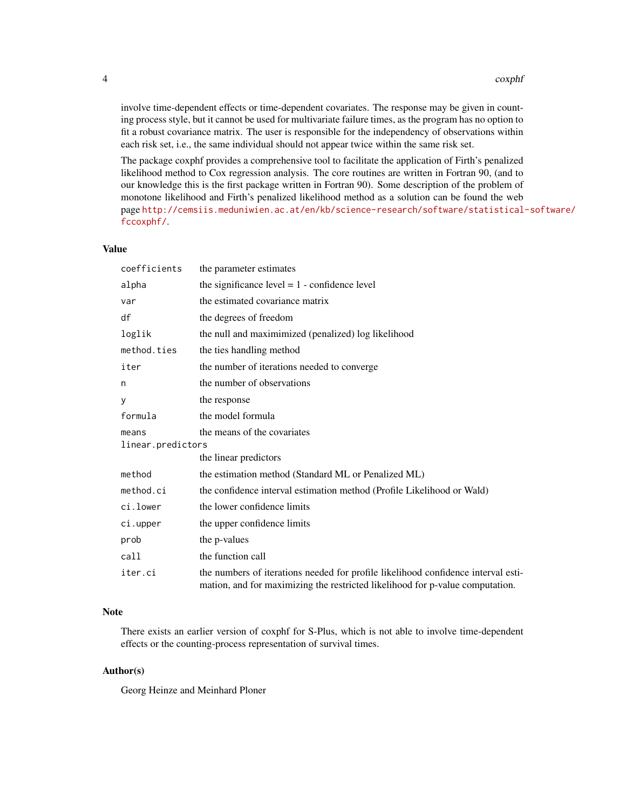involve time-dependent effects or time-dependent covariates. The response may be given in counting process style, but it cannot be used for multivariate failure times, as the program has no option to fit a robust covariance matrix. The user is responsible for the independency of observations within each risk set, i.e., the same individual should not appear twice within the same risk set.

The package coxphf provides a comprehensive tool to facilitate the application of Firth's penalized likelihood method to Cox regression analysis. The core routines are written in Fortran 90, (and to our knowledge this is the first package written in Fortran 90). Some description of the problem of monotone likelihood and Firth's penalized likelihood method as a solution can be found the web page [http://cemsiis.meduniwien.ac.at/en/kb/science-research/software/statistical](http://cemsiis.meduniwien.ac.at/en/kb/science-research/software/statistical-software/fccoxphf/)-software/ [fccoxphf/](http://cemsiis.meduniwien.ac.at/en/kb/science-research/software/statistical-software/fccoxphf/).

#### Value

| coefficients               | the parameter estimates                                                                                                                                            |
|----------------------------|--------------------------------------------------------------------------------------------------------------------------------------------------------------------|
| alpha                      | the significance level $= 1$ - confidence level                                                                                                                    |
| var                        | the estimated covariance matrix                                                                                                                                    |
| df                         | the degrees of freedom                                                                                                                                             |
| loglik                     | the null and maximimized (penalized) log likelihood                                                                                                                |
| method.ties                | the ties handling method                                                                                                                                           |
| iter                       | the number of iterations needed to converge                                                                                                                        |
| n                          | the number of observations                                                                                                                                         |
| y                          | the response                                                                                                                                                       |
| formula                    | the model formula                                                                                                                                                  |
| means<br>linear.predictors | the means of the covariates                                                                                                                                        |
|                            | the linear predictors                                                                                                                                              |
| method                     | the estimation method (Standard ML or Penalized ML)                                                                                                                |
| method.ci                  | the confidence interval estimation method (Profile Likelihood or Wald)                                                                                             |
| ci.lower                   | the lower confidence limits                                                                                                                                        |
| ci.upper                   | the upper confidence limits                                                                                                                                        |
| prob                       | the p-values                                                                                                                                                       |
| call                       | the function call                                                                                                                                                  |
| iter.ci                    | the numbers of iterations needed for profile likelihood confidence interval esti-<br>mation, and for maximizing the restricted likelihood for p-value computation. |

#### Note

There exists an earlier version of coxphf for S-Plus, which is not able to involve time-dependent effects or the counting-process representation of survival times.

# Author(s)

Georg Heinze and Meinhard Ploner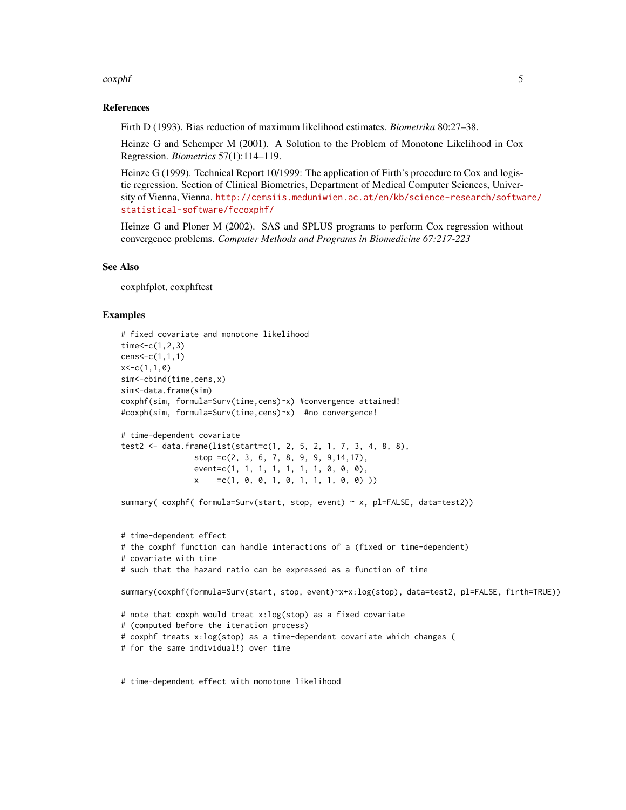#### coxphf 5

#### References

Firth D (1993). Bias reduction of maximum likelihood estimates. *Biometrika* 80:27–38.

Heinze G and Schemper M (2001). A Solution to the Problem of Monotone Likelihood in Cox Regression. *Biometrics* 57(1):114–119.

Heinze G (1999). Technical Report 10/1999: The application of Firth's procedure to Cox and logistic regression. Section of Clinical Biometrics, Department of Medical Computer Sciences, University of Vienna, Vienna. [http://cemsiis.meduniwien.ac.at/en/kb/science-research/softwa](http://cemsiis.meduniwien.ac.at/en/kb/science-research/software/statistical-software/fccoxphf/)re/ [statistical-software/fccoxphf/](http://cemsiis.meduniwien.ac.at/en/kb/science-research/software/statistical-software/fccoxphf/)

Heinze G and Ploner M (2002). SAS and SPLUS programs to perform Cox regression without convergence problems. *Computer Methods and Programs in Biomedicine 67:217-223*

#### See Also

coxphfplot, coxphftest

#### Examples

```
# fixed covariate and monotone likelihood
time < -c(1, 2, 3)cens<-c(1,1,1)
x < -c(1,1,0)sim<-cbind(time,cens,x)
sim<-data.frame(sim)
coxphf(sim, formula=Surv(time,cens)~x) #convergence attained!
#coxph(sim, formula=Surv(time,cens)~x) #no convergence!
# time-dependent covariate
test2 <- data.frame(list(start=c(1, 2, 5, 2, 1, 7, 3, 4, 8, 8),
                stop =c(2, 3, 6, 7, 8, 9, 9, 9,14,17),
                event=c(1, 1, 1, 1, 1, 1, 1, 0, 0, 0),
                x = c(1, 0, 0, 1, 0, 1, 1, 1, 0, 0)summary( coxphf( formula=Surv(start, stop, event) ~ x, pl=FALSE, data=test2))
# time-dependent effect
# the coxphf function can handle interactions of a (fixed or time-dependent)
# covariate with time
# such that the hazard ratio can be expressed as a function of time
summary(coxphf(formula=Surv(start, stop, event)~x+x:log(stop), data=test2, pl=FALSE, firth=TRUE))
# note that coxph would treat x:log(stop) as a fixed covariate
# (computed before the iteration process)
# coxphf treats x:log(stop) as a time-dependent covariate which changes (
# for the same individual!) over time
```
# time-dependent effect with monotone likelihood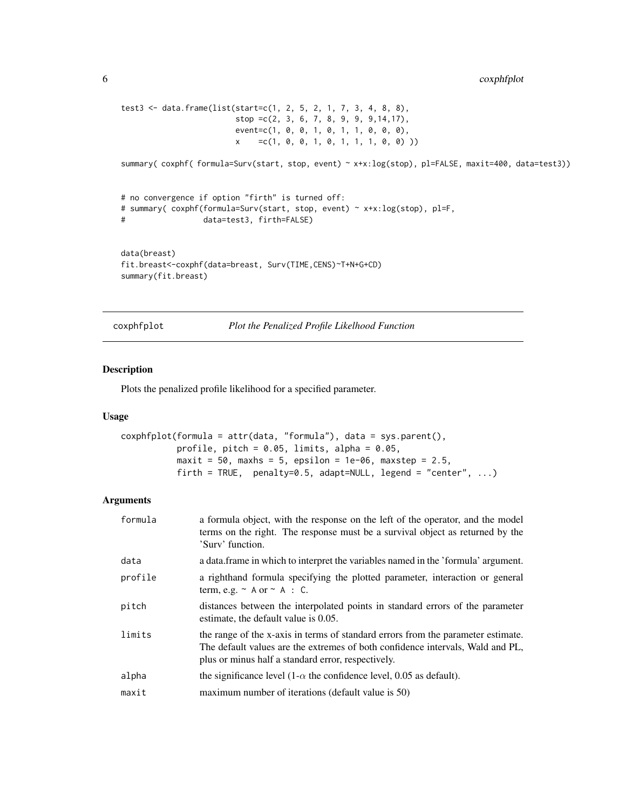```
test3 <- data.frame(list(start=c(1, 2, 5, 2, 1, 7, 3, 4, 8, 8),
                        stop =c(2, 3, 6, 7, 8, 9, 9, 9,14,17),
                        event=c(1, 0, 0, 1, 0, 1, 1, 0, 0, 0),
                        x =c(1, 0, 0, 1, 0, 1, 1, 1, 0, 0) ))
summary( coxphf( formula=Surv(start, stop, event) ~ x+x:log(stop), pl=FALSE, maxit=400, data=test3))
# no convergence if option "firth" is turned off:
# summary( coxphf(formula=Surv(start, stop, event) ~ x+x:log(stop), pl=F,
# data=test3, firth=FALSE)
data(breast)
fit.breast<-coxphf(data=breast, Surv(TIME,CENS)~T+N+G+CD)
summary(fit.breast)
```
coxphfplot *Plot the Penalized Profile Likelhood Function*

#### Description

Plots the penalized profile likelihood for a specified parameter.

#### Usage

```
coxphfplot(formula = attr(data, "formula"), data = sys.parent(),
           profile, pitch = 0.05, limits, alpha = 0.05,
           maxit = 50, maxhs = 5, epsilon = 1e-06, maxstep = 2.5,
           firth = TRUE, penalty=0.5, adapt=NULL, legend = "center", \dots)
```
# Arguments

| formula | a formula object, with the response on the left of the operator, and the model<br>terms on the right. The response must be a survival object as returned by the<br>'Surv' function.                                      |
|---------|--------------------------------------------------------------------------------------------------------------------------------------------------------------------------------------------------------------------------|
| data    | a data frame in which to interpret the variables named in the 'formula' argument.                                                                                                                                        |
| profile | a righthand formula specifying the plotted parameter, interaction or general<br>term, e.g. $\sim$ A or $\sim$ A : C.                                                                                                     |
| pitch   | distances between the interpolated points in standard errors of the parameter<br>estimate, the default value is 0.05.                                                                                                    |
| limits  | the range of the x-axis in terms of standard errors from the parameter estimate.<br>The default values are the extremes of both confidence intervals, Wald and PL,<br>plus or minus half a standard error, respectively. |
| alpha   | the significance level $(1-\alpha)$ the confidence level, 0.05 as default).                                                                                                                                              |
| maxit   | maximum number of iterations (default value is 50)                                                                                                                                                                       |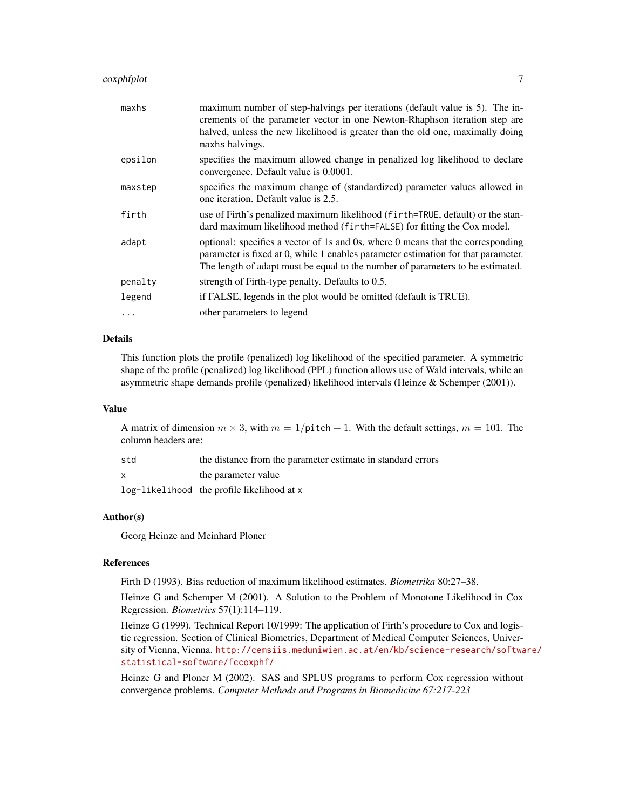# coxphfplot 7

| maxhs     | maximum number of step-halvings per iterations (default value is 5). The in-<br>crements of the parameter vector in one Newton-Rhaphson iteration step are<br>halved, unless the new likelihood is greater than the old one, maximally doing<br>maxhs halvings. |
|-----------|-----------------------------------------------------------------------------------------------------------------------------------------------------------------------------------------------------------------------------------------------------------------|
| epsilon   | specifies the maximum allowed change in penalized log likelihood to declare<br>convergence. Default value is 0.0001.                                                                                                                                            |
| maxstep   | specifies the maximum change of (standardized) parameter values allowed in<br>one iteration. Default value is 2.5.                                                                                                                                              |
| firth     | use of Firth's penalized maximum likelihood (firth=TRUE, default) or the stan-<br>dard maximum likelihood method (firth=FALSE) for fitting the Cox model.                                                                                                       |
| adapt     | optional: specifies a vector of 1s and 0s, where 0 means that the corresponding<br>parameter is fixed at 0, while 1 enables parameter estimation for that parameter.<br>The length of adapt must be equal to the number of parameters to be estimated.          |
| penalty   | strength of Firth-type penalty. Defaults to 0.5.                                                                                                                                                                                                                |
| legend    | if FALSE, legends in the plot would be omitted (default is TRUE).                                                                                                                                                                                               |
| $\ddotsc$ | other parameters to legend                                                                                                                                                                                                                                      |

#### Details

This function plots the profile (penalized) log likelihood of the specified parameter. A symmetric shape of the profile (penalized) log likelihood (PPL) function allows use of Wald intervals, while an asymmetric shape demands profile (penalized) likelihood intervals (Heinze & Schemper (2001)).

#### Value

A matrix of dimension  $m \times 3$ , with  $m = 1/\text{pitch} + 1$ . With the default settings,  $m = 101$ . The column headers are:

| std          | the distance from the parameter estimate in standard errors |
|--------------|-------------------------------------------------------------|
| $\mathsf{x}$ | the parameter value                                         |
|              | log-likelihood the profile likelihood at x                  |

# Author(s)

Georg Heinze and Meinhard Ploner

# References

Firth D (1993). Bias reduction of maximum likelihood estimates. *Biometrika* 80:27–38.

Heinze G and Schemper M (2001). A Solution to the Problem of Monotone Likelihood in Cox Regression. *Biometrics* 57(1):114–119.

Heinze G (1999). Technical Report 10/1999: The application of Firth's procedure to Cox and logistic regression. Section of Clinical Biometrics, Department of Medical Computer Sciences, University of Vienna, Vienna. [http://cemsiis.meduniwien.ac.at/en/kb/science-research/softwa](http://cemsiis.meduniwien.ac.at/en/kb/science-research/software/statistical-software/fccoxphf/)re/ [statistical-software/fccoxphf/](http://cemsiis.meduniwien.ac.at/en/kb/science-research/software/statistical-software/fccoxphf/)

Heinze G and Ploner M (2002). SAS and SPLUS programs to perform Cox regression without convergence problems. *Computer Methods and Programs in Biomedicine 67:217-223*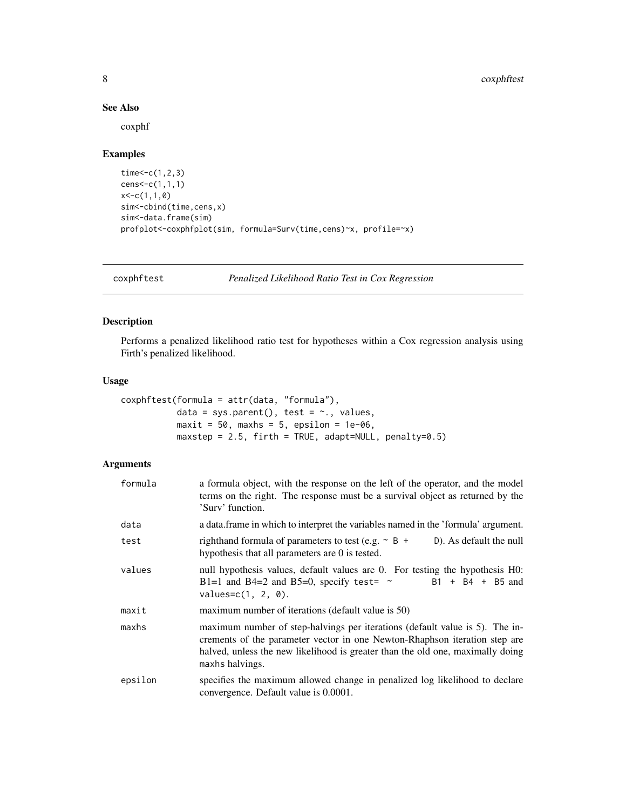#### See Also

coxphf

#### Examples

```
time < -c(1, 2, 3)cens<-c(1,1,1)
x < -c(1,1,0)sim<-cbind(time,cens,x)
sim<-data.frame(sim)
profplot<-coxphfplot(sim, formula=Surv(time,cens)~x, profile=~x)
```
coxphftest *Penalized Likelihood Ratio Test in Cox Regression*

#### Description

Performs a penalized likelihood ratio test for hypotheses within a Cox regression analysis using Firth's penalized likelihood.

#### Usage

```
coxphftest(formula = attr(data, "formula"),
           data = sys.parent(), test = \sim., values,
           maxit = 50, maxhs = 5, epsilon = 1e-06,
           maxstep = 2.5, firth = TRUE, adapt=NULL, penalty=0.5)
```
# Arguments

| formula | a formula object, with the response on the left of the operator, and the model<br>terms on the right. The response must be a survival object as returned by the<br>'Surv' function.                                                                             |
|---------|-----------------------------------------------------------------------------------------------------------------------------------------------------------------------------------------------------------------------------------------------------------------|
| data    | a data. frame in which to interpret the variables named in the 'formula' argument.                                                                                                                                                                              |
| test    | righthand formula of parameters to test (e.g. $\sim$ B +<br>D). As default the null<br>hypothesis that all parameters are 0 is tested.                                                                                                                          |
| values  | null hypothesis values, default values are 0. For testing the hypothesis H0:<br>$B1 + B4 + B5$ and<br>B1=1 and B4=2 and B5=0, specify test= $\sim$<br>$values=c(1, 2, 0).$                                                                                      |
| maxit   | maximum number of iterations (default value is 50)                                                                                                                                                                                                              |
| maxhs   | maximum number of step-halvings per iterations (default value is 5). The in-<br>crements of the parameter vector in one Newton-Rhaphson iteration step are<br>halved, unless the new likelihood is greater than the old one, maximally doing<br>maxhs halvings. |
| epsilon | specifies the maximum allowed change in penalized log likelihood to declare<br>convergence. Default value is 0.0001.                                                                                                                                            |

<span id="page-7-0"></span>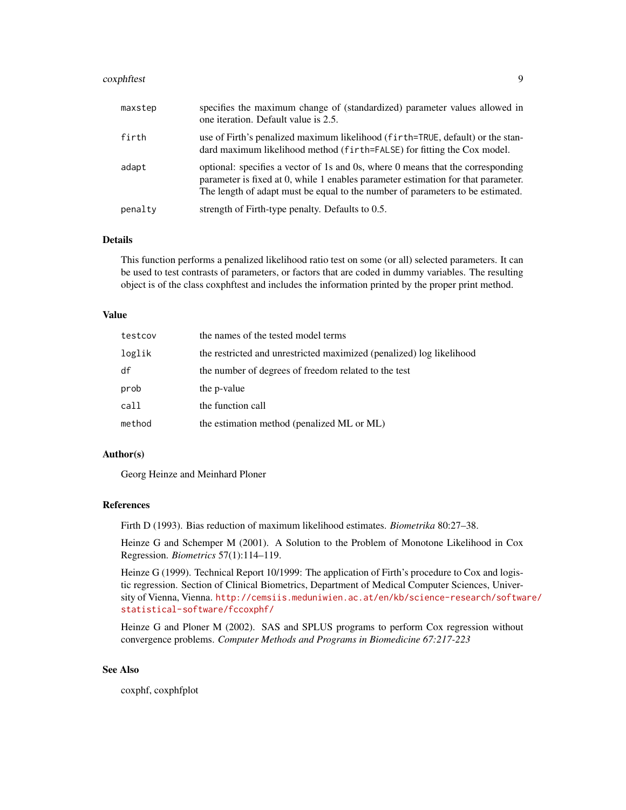#### coxphftest 9

| maxstep | specifies the maximum change of (standardized) parameter values allowed in<br>one iteration. Default value is 2.5.                                                                                                                                     |
|---------|--------------------------------------------------------------------------------------------------------------------------------------------------------------------------------------------------------------------------------------------------------|
| firth   | use of Firth's penalized maximum likelihood (firth=TRUE, default) or the stan-<br>dard maximum likelihood method (firth=FALSE) for fitting the Cox model.                                                                                              |
| adapt   | optional: specifies a vector of 1s and 0s, where 0 means that the corresponding<br>parameter is fixed at 0, while 1 enables parameter estimation for that parameter.<br>The length of adapt must be equal to the number of parameters to be estimated. |
| penalty | strength of Firth-type penalty. Defaults to 0.5.                                                                                                                                                                                                       |

#### Details

This function performs a penalized likelihood ratio test on some (or all) selected parameters. It can be used to test contrasts of parameters, or factors that are coded in dummy variables. The resulting object is of the class coxphftest and includes the information printed by the proper print method.

#### Value

| testcov | the names of the tested model terms                                  |
|---------|----------------------------------------------------------------------|
| loglik  | the restricted and unrestricted maximized (penalized) log likelihood |
| df      | the number of degrees of freedom related to the test                 |
| prob    | the p-value                                                          |
| call    | the function call                                                    |
| method  | the estimation method (penalized ML or ML)                           |

#### Author(s)

Georg Heinze and Meinhard Ploner

#### References

Firth D (1993). Bias reduction of maximum likelihood estimates. *Biometrika* 80:27–38.

Heinze G and Schemper M (2001). A Solution to the Problem of Monotone Likelihood in Cox Regression. *Biometrics* 57(1):114–119.

Heinze G (1999). Technical Report 10/1999: The application of Firth's procedure to Cox and logistic regression. Section of Clinical Biometrics, Department of Medical Computer Sciences, University of Vienna, Vienna. [http://cemsiis.meduniwien.ac.at/en/kb/science-research/softwa](http://cemsiis.meduniwien.ac.at/en/kb/science-research/software/statistical-software/fccoxphf/)re/ [statistical-software/fccoxphf/](http://cemsiis.meduniwien.ac.at/en/kb/science-research/software/statistical-software/fccoxphf/)

Heinze G and Ploner M (2002). SAS and SPLUS programs to perform Cox regression without convergence problems. *Computer Methods and Programs in Biomedicine 67:217-223*

#### See Also

coxphf, coxphfplot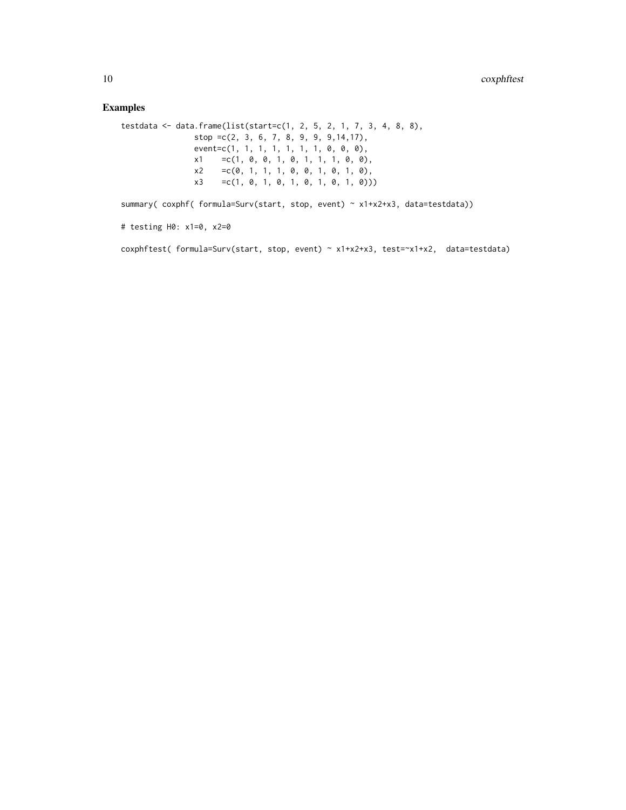# Examples

```
testdata <- data.frame(list(start=c(1, 2, 5, 2, 1, 7, 3, 4, 8, 8),
              stop =c(2, 3, 6, 7, 8, 9, 9, 9,14,17),
               event=c(1, 1, 1, 1, 1, 1, 1, 0, 0, 0),
               x1 =c(1, 0, 0, 1, 0, 1, 1, 1, 0, 0),
               x2 = c(0, 1, 1, 1, 0, 0, 1, 0, 1, 0),x3 =c(1, 0, 1, 0, 1, 0, 1, 0, 1, 0)))
```
summary( coxphf( formula=Surv(start, stop, event) ~ x1+x2+x3, data=testdata))

```
# testing H0: x1=0, x2=0
```
coxphftest( formula=Surv(start, stop, event) ~ x1+x2+x3, test=~x1+x2, data=testdata)